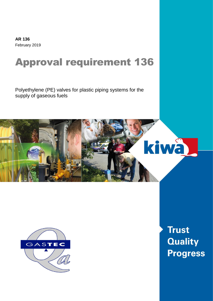**AR 136** February 2019

# Approval requirement 136

Polyethylene (PE) valves for plastic piping systems for the supply of gaseous fuels





**Trust Quality Progress**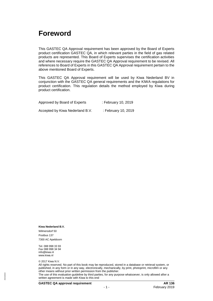### **Foreword**

This GASTEC QA Approval requirement has been approved by the Board of Experts product certification GASTEC QA, in which relevant parties in the field of gas related products are represented. This Board of Experts supervises the certification activities and where necessary require the GASTEC QA Approval requirement to be revised. All references to Board of Experts in this GASTEC QA Approval requirement pertain to the above mentioned Board of Experts.

This GASTEC QA Approval requirement will be used by Kiwa Nederland BV in conjunction with the GASTEC QA general requirements and the KIWA regulations for product certification. This regulation details the method employed by Kiwa during product certification.

| Approved by Board of Experts    | : February 10, 2019 |
|---------------------------------|---------------------|
| Accepted by Kiwa Nederland B.V. | : February 10, 2019 |

**Kiwa Nederland B.V.**

Wilmersdorf 50 Postbus 137 7300 AC Apeldoorn

Tel. 088 998 33 93 Fax 088 998 34 94 info@kiwa.nl www.kiwa.nl

© 2017 Kiwa N.V.

All rights reserved. No part of this book may be reproduced, stored in a database or retrieval system, or published, in any form or in any way, electronically, mechanically, by print, photoprint, microfilm or any other means without prior written permission from the publisher. The use of this evaluation guideline by third parties, for any purpose whatsoever, is only allowed after a

written agreement is made with Kiwa to this end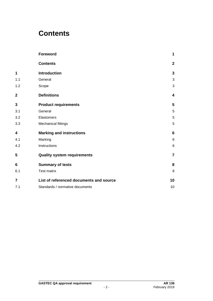### **Contents**

|                | Foreword                                | 1                       |
|----------------|-----------------------------------------|-------------------------|
|                | <b>Contents</b>                         | $\mathbf{2}$            |
| 1              | <b>Introduction</b>                     | 3                       |
| 1.1            | General                                 | 3                       |
| 1.2            | Scope                                   | 3                       |
| $\overline{2}$ | <b>Definitions</b>                      | $\overline{\mathbf{4}}$ |
| 3              | <b>Product requirements</b>             | 5                       |
| 3.1            | General                                 | 5                       |
| 3.2            | Elastomers                              | 5                       |
| 3.3            | Mechanical fittings                     | 5                       |
| 4              | <b>Marking and instructions</b>         | 6                       |
| 4.1            | Marking                                 | 6                       |
| 4.2            | Instructions                            | 6                       |
| 5              | <b>Quality system requirements</b>      | $\overline{7}$          |
| 6              | <b>Summary of tests</b>                 | 8                       |
| 6.1            | <b>Test matrix</b>                      | 8                       |
| 7              | List of referenced documents and source | 10                      |
| 7.1            | Standards / normative documents         | 10                      |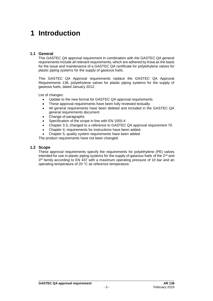## **1 Introduction**

#### **1.1 General**

This GASTEC QA approval requirement in combination with the GASTEC QA general requirements include all relevant requirements, which are adhered by Kiwa as the basis for the issue and maintenance of a GASTEC QA certificate for polyethylene valves for plastic piping systems for the supply of gaseous fuels.

This GASTEC QA Approval requirements replace the GASTEC QA Approval Requirements 136, polyethylene valves for plastic piping systems for the supply of gaseous fuels, dated January 2012.

List of changes:

- Update to the new format for GASTEC QA approval requirements
- These approval requirements have been fully reviewed textually.
- All general requirements have been deleted and included in the GASTEC QA general requirements document
- Change of paragraphs
- Specification of the scope in line with EN 1555-4
- Chapter 3.3; changed to a reference to GASTEC QA approval requirement 70.
- Chapter 4; requirements for instructions have been added.
- Chapter 5; quality system requirements have been added.

The product requirements have not been changed.

#### **1.2 Scope**

These approval requirements specify the requirements for polyethylene (PE) valves intended for use in plastic piping systems for the supply of gaseous fuels of the  $2<sup>nd</sup>$  and  $3<sup>rd</sup>$  family according to EN 437 with a maximum operating pressure of 10 bar and an operating temperature of 20 °C as reference temperature.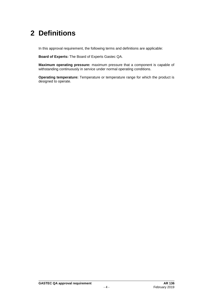# **2 Definitions**

In this approval requirement, the following terms and definitions are applicable:

**Board of Experts:** The Board of Experts Gastec QA.

**Maximum operating pressure:** maximum pressure that a component is capable of withstanding continuously in service under normal operating conditions.

**Operating temperature:** Temperature or temperature range for which the product is designed to operate.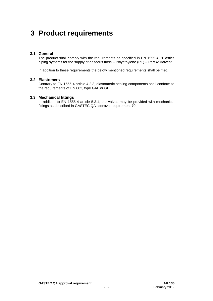### **3 Product requirements**

#### **3.1 General**

The product shall comply with the requirements as specified in EN 1555-4: "Plastics piping systems for the supply of gaseous fuels – Polyethylene (PE) – Part 4: Valves"

In addition to these requirements the below mentioned requirements shall be met.

#### **3.2 Elastomers**

Contrary to EN 1555-4 article 4.2.3, elastomeric sealing components shall conform to the requirements of EN 682, type GAL or GBL.

#### **3.3 Mechanical fittings**

In addition to EN 1555-4 article 5.3.1, the valves may be provided with mechanical fittings as described in GASTEC QA approval requirement 70.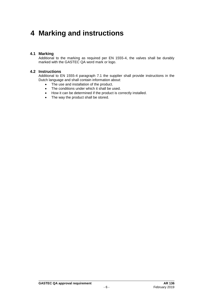## **4 Marking and instructions**

#### **4.1 Marking**

Additional to the marking as required per EN 1555-4, the valves shall be durably marked with the GASTEC QA word mark or logo.

#### **4.2 Instructions**

Additional to EN 1555-4 paragraph 7.1 the supplier shall provide instructions in the Dutch language and shall contain information about:

- The use and installation of the product.
- The conditions under which it shall be used.
- How it can be determined if the product is correctly installed.
- The way the product shall be stored.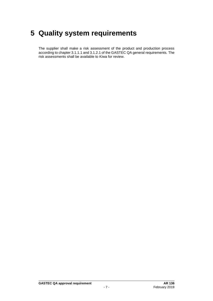## **5 Quality system requirements**

The supplier shall make a risk assessment of the product and production process according to chapter 3.1.1.1 and 3.1.2.1 of the GASTEC QA general requirements. The risk assessments shall be available to Kiwa for review.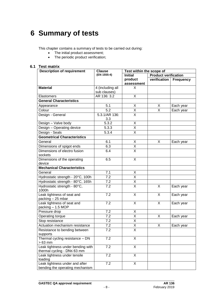## **6 Summary of tests**

This chapter contains a summary of tests to be carried out during:

- The initial product assessment;<br>• The periodic product verification
- The periodic product verification;

#### **6.1 Test matrix**

| <b>Description of requirement</b>  | <b>Clause</b>    | Test within the scope of |                             |                  |
|------------------------------------|------------------|--------------------------|-----------------------------|------------------|
|                                    | (EN 1555-4)      | <b>Initial</b>           | <b>Product verification</b> |                  |
|                                    |                  | product                  | verification                | <b>Frequency</b> |
|                                    |                  | assessment               |                             |                  |
| <b>Material</b>                    | 4 (including all | X                        |                             |                  |
|                                    | sub clauses)     |                          |                             |                  |
| Elastomers                         | AR 136: 3.2      | $\overline{\mathsf{X}}$  |                             |                  |
| <b>General Characteristics</b>     |                  |                          |                             |                  |
| Appearance                         | 5.1              | X                        | X                           | Each year        |
| Colour                             | $\overline{5.2}$ | $\overline{\mathsf{x}}$  | $\overline{\mathsf{x}}$     | Each year        |
| Design - General                   | 5.3.1/AR 136:    | $\overline{\mathsf{x}}$  |                             |                  |
|                                    | 3.3              |                          |                             |                  |
| Design - Valve body                | 5.3.2            | X                        |                             |                  |
| Design - Operating device          | 5.3.3            | $\mathsf X$              |                             |                  |
| Design - Seals                     | 5.3.4            | $\overline{\mathsf{x}}$  |                             |                  |
| <b>Geometrical Characteristics</b> |                  |                          |                             |                  |
| General                            | 6.1              | X                        | X                           | Each year        |
| Dimensions of spigot ends          | 6.3              | Χ                        |                             |                  |
| Dimensions of electro fusion       | 6.4              | $\overline{\mathsf{x}}$  |                             |                  |
| sockets                            |                  |                          |                             |                  |
| Dimensions of the operating        | 6.5              | X                        |                             |                  |
| device                             |                  |                          |                             |                  |
| <b>Mechanical Characteristics</b>  |                  |                          |                             |                  |
| General                            | 7.1              | X                        |                             |                  |
| Hydrostatic strength - 20°C, 100h  | $\overline{7.2}$ | $\overline{\mathsf{x}}$  |                             |                  |
| Hydrostatic strength - 80°C, 165h  | 7.2              | X                        |                             |                  |
| Hydrostatic strength - 80°C,       | $\overline{7.2}$ | $\overline{\mathsf{x}}$  | $\overline{\mathsf{x}}$     | Each year        |
| 1000h                              |                  |                          |                             |                  |
| Leak tightness of seat and         | 7.2              | X                        | X                           | Each year        |
| packing - 25 mbar                  |                  |                          |                             |                  |
| Leak tightness of seat and         | 7.2              | X                        | X                           | Each year        |
| packing - 1.5 MOP                  |                  |                          |                             |                  |
| Pressure drop                      | 7.2              | X                        |                             |                  |
| Operating torque                   | $\overline{7.2}$ | $\overline{\mathsf{x}}$  | X                           | Each year        |
| Stop resistance                    | 7.2              | X                        |                             |                  |
| Actuation mechanism resistance     | 7.2              | X                        | X                           | Each year        |
| Resistance to bending between      | 7.2              | $\overline{\mathsf{x}}$  |                             |                  |
| supports                           |                  |                          |                             |                  |
| Thermal cycling resistance - DN    | 7.2              | X                        |                             |                  |
| $>63$ mm                           |                  |                          |                             |                  |
| Leak tightness under bending with  | 7.2              | X                        |                             |                  |
| thermal cycling - DN≤ 63 mm        |                  |                          |                             |                  |
| Leak tightness under tensile       | $\overline{7.2}$ | $\mathsf{X}$             |                             |                  |
| loading                            |                  |                          |                             |                  |
| Leak tightness under and after     | 7.2              | X                        |                             |                  |
| bending the operating mechanism    |                  |                          |                             |                  |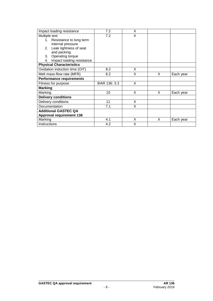| Impact loading resistance       | 7.2           | X |   |           |
|---------------------------------|---------------|---|---|-----------|
| Multiple test                   | 7.2           | X |   |           |
| Resistance to long term<br>1.   |               |   |   |           |
| internal pressure               |               |   |   |           |
| Leak tightness of seat<br>2.    |               |   |   |           |
| and packing                     |               |   |   |           |
| Operating torque<br>3.          |               |   |   |           |
| Impact loading resistance<br>4. |               |   |   |           |
| <b>Physical Characteristics</b> |               |   |   |           |
| Oxidation induction time (OIT)  | 8.2           | X |   |           |
| Melt mass-flow rate (MFR)       | 8.2           | X | X | Each year |
| <b>Performance requirements</b> |               |   |   |           |
| Fitness for purpose             | 9/AR 136: 3.3 | X |   |           |
| <b>Marking</b>                  |               |   |   |           |
| Marking                         | 10            | X | X | Each year |
| <b>Delivery conditions</b>      |               |   |   |           |
| Delivery conditions             | 11            | X |   |           |
| Documentation                   | 7.1           | X |   |           |
| <b>Additional GASTEC QA</b>     |               |   |   |           |
| <b>Approval requirement 136</b> |               |   |   |           |
| Marking                         | 4.1           | X | X | Each year |
| Instructions                    | 4.2           | X |   |           |